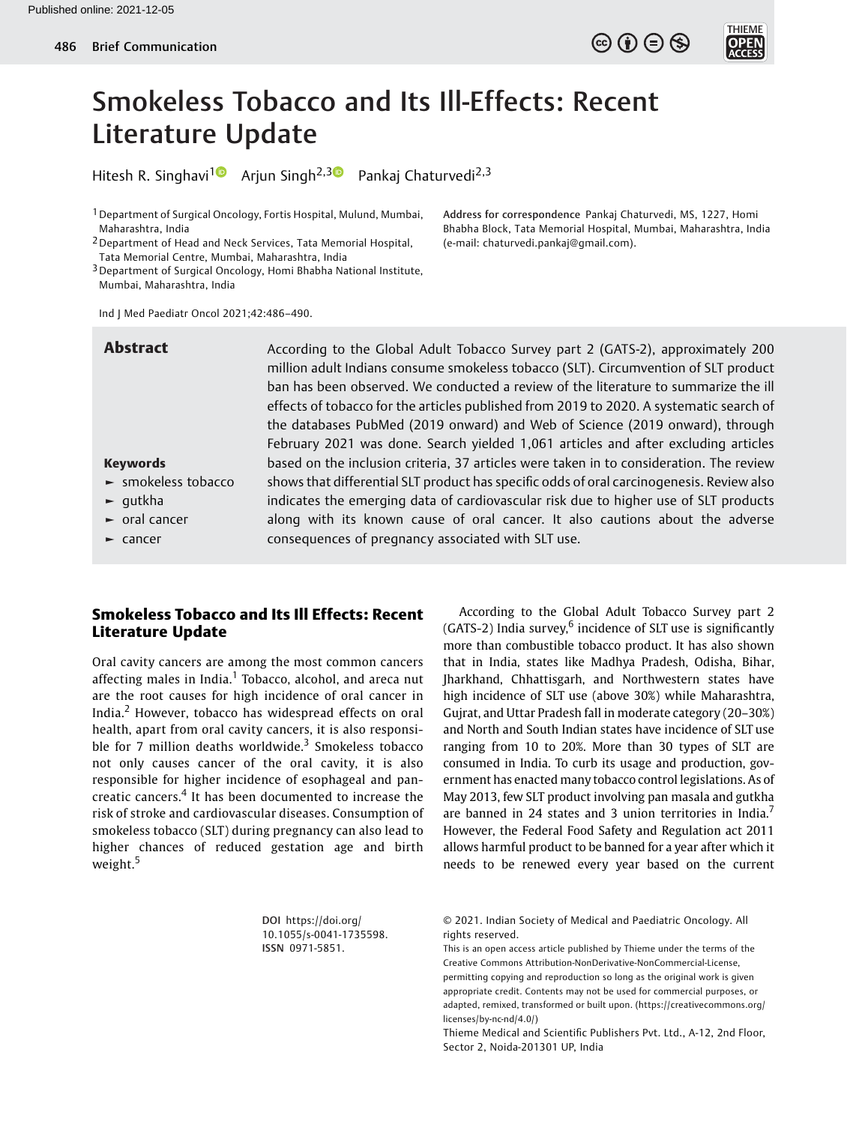Address for correspondence Pankaj Chaturvedi, MS, 1227, Homi Bhabha Block, Tata Memorial Hospital, Mumbai, Maharashtra, India



# Smokeless Tobacco and Its Ill-Effects: Recent Literature Update

Hitesh R. Singhavi<sup>1</sup> Arjun Singh<sup>2,30</sup> Pankaj Chaturvedi<sup>2,3</sup>

1Department of Surgical Oncology, Fortis Hospital, Mulund, Mumbai, Maharashtra, India

2Department of Head and Neck Services, Tata Memorial Hospital, Tata Memorial Centre, Mumbai, Maharashtra, India

3Department of Surgical Oncology, Homi Bhabha National Institute, Mumbai, Maharashtra, India

Ind J Med Paediatr Oncol 2021;42:486–490.

Abstract According to the Global Adult Tobacco Survey part 2 (GATS-2), approximately 200 million adult Indians consume smokeless tobacco (SLT). Circumvention of SLT product ban has been observed. We conducted a review of the literature to summarize the ill effects of tobacco for the articles published from 2019 to 2020. A systematic search of the databases PubMed (2019 onward) and Web of Science (2019 onward), through February 2021 was done. Search yielded 1,061 articles and after excluding articles based on the inclusion criteria, 37 articles were taken in to consideration. The review shows that differential SLT product has specific odds of oral carcinogenesis. Review also indicates the emerging data of cardiovascular risk due to higher use of SLT products along with its known cause of oral cancer. It also cautions about the adverse consequences of pregnancy associated with SLT use.

(e-mail: [chaturvedi.pankaj@gmail.com\)](mailto:chaturvedi.pankaj@gmail.com).

## Keywords

- ► smokeless tobacco
- ► gutkha
- ► oral cancer
- ► cancer

# Smokeless Tobacco and Its Ill Effects: Recent Literature Update

Oral cavity cancers are among the most common cancers affecting males in India.<sup>1</sup> Tobacco, alcohol, and areca nut are the root causes for high incidence of oral cancer in India.<sup>2</sup> However, tobacco has widespread effects on oral health, apart from oral cavity cancers, it is also responsible for 7 million deaths worldwide.<sup>3</sup> Smokeless tobacco not only causes cancer of the oral cavity, it is also responsible for higher incidence of esophageal and pancreatic cancers.<sup>4</sup> It has been documented to increase the risk of stroke and cardiovascular diseases. Consumption of smokeless tobacco (SLT) during pregnancy can also lead to higher chances of reduced gestation age and birth weight.<sup>5</sup>

According to the Global Adult Tobacco Survey part 2  $(GATS-2)$  India survey,<sup>6</sup> incidence of SLT use is significantly more than combustible tobacco product. It has also shown that in India, states like Madhya Pradesh, Odisha, Bihar, Jharkhand, Chhattisgarh, and Northwestern states have high incidence of SLT use (above 30%) while Maharashtra, Gujrat, and Uttar Pradesh fall in moderate category (20–30%) and North and South Indian states have incidence of SLT use ranging from 10 to 20%. More than 30 types of SLT are consumed in India. To curb its usage and production, government has enacted many tobacco control legislations. As of May 2013, few SLT product involving pan masala and gutkha are banned in 24 states and 3 union territories in India.<sup>7</sup> However, the Federal Food Safety and Regulation act 2011 allows harmful product to be banned for a year after which it needs to be renewed every year based on the current

DOI [https://doi.org/](https://doi.org/10.1055/s-0041-1735598) [10.1055/s-0041-1735598](https://doi.org/10.1055/s-0041-1735598). ISSN 0971-5851.

© 2021. Indian Society of Medical and Paediatric Oncology. All rights reserved.

This is an open access article published by Thieme under the terms of the Creative Commons Attribution-NonDerivative-NonCommercial-License, permitting copying and reproduction so long as the original work is given appropriate credit. Contents may not be used for commercial purposes, or adapted, remixed, transformed or built upon. (https://creativecommons.org/ licenses/by-nc-nd/4.0/)

Thieme Medical and Scientific Publishers Pvt. Ltd., A-12, 2nd Floor, Sector 2, Noida-201301 UP, India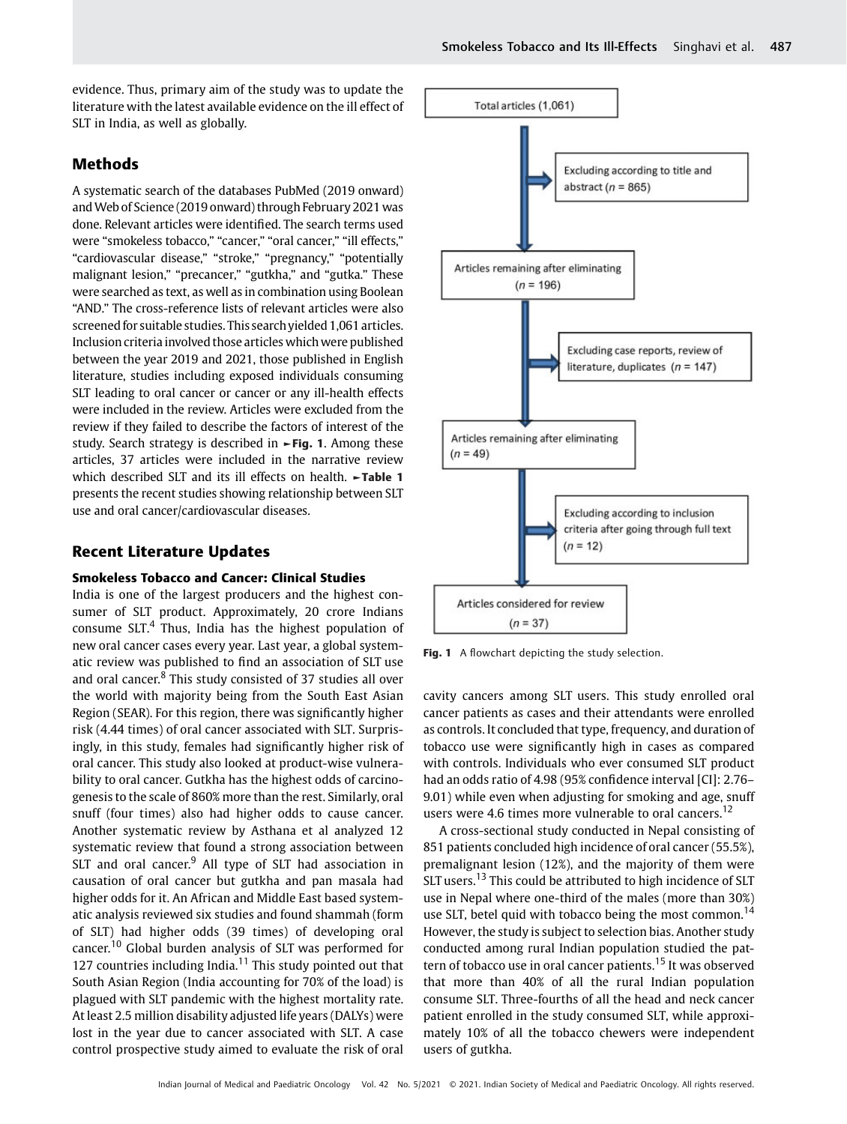evidence. Thus, primary aim of the study was to update the literature with the latest available evidence on the ill effect of SLT in India, as well as globally.

# Methods

A systematic search of the databases PubMed (2019 onward) and Web of Science (2019 onward) through February 2021 was done. Relevant articles were identified. The search terms used were "smokeless tobacco," "cancer," "oral cancer," "ill effects," "cardiovascular disease," "stroke," "pregnancy," "potentially malignant lesion," "precancer," "gutkha," and "gutka." These were searched as text, as well as in combination using Boolean "AND." The cross-reference lists of relevant articles were also screened for suitable studies. This search yielded 1,061 articles. Inclusion criteria involved those articles which were published between the year 2019 and 2021, those published in English literature, studies including exposed individuals consuming SLT leading to oral cancer or cancer or any ill-health effects were included in the review. Articles were excluded from the review if they failed to describe the factors of interest of the study. Search strategy is described in ►Fig. 1. Among these articles, 37 articles were included in the narrative review which described SLT and its ill effects on health. ►Table 1 presents the recent studies showing relationship between SLT use and oral cancer/cardiovascular diseases.

# Recent Literature Updates

#### Smokeless Tobacco and Cancer: Clinical Studies

India is one of the largest producers and the highest consumer of SLT product. Approximately, 20 crore Indians consume  $SLT<sup>4</sup>$ . Thus, India has the highest population of new oral cancer cases every year. Last year, a global systematic review was published to find an association of SLT use and oral cancer.<sup>8</sup> This study consisted of 37 studies all over the world with majority being from the South East Asian Region (SEAR). For this region, there was significantly higher risk (4.44 times) of oral cancer associated with SLT. Surprisingly, in this study, females had significantly higher risk of oral cancer. This study also looked at product-wise vulnerability to oral cancer. Gutkha has the highest odds of carcinogenesis to the scale of 860% more than the rest. Similarly, oral snuff (four times) also had higher odds to cause cancer. Another systematic review by Asthana et al analyzed 12 systematic review that found a strong association between SLT and oral cancer. $9$  All type of SLT had association in causation of oral cancer but gutkha and pan masala had higher odds for it. An African and Middle East based systematic analysis reviewed six studies and found shammah (form of SLT) had higher odds (39 times) of developing oral cancer.<sup>10</sup> Global burden analysis of SLT was performed for 127 countries including India. $11$  This study pointed out that South Asian Region (India accounting for 70% of the load) is plagued with SLT pandemic with the highest mortality rate. At least 2.5 million disability adjusted life years (DALYs) were lost in the year due to cancer associated with SLT. A case control prospective study aimed to evaluate the risk of oral



Fig. 1 A flowchart depicting the study selection.

cavity cancers among SLT users. This study enrolled oral cancer patients as cases and their attendants were enrolled as controls. It concluded that type, frequency, and duration of tobacco use were significantly high in cases as compared with controls. Individuals who ever consumed SLT product had an odds ratio of 4.98 (95% confidence interval [CI]: 2.76– 9.01) while even when adjusting for smoking and age, snuff users were 4.6 times more vulnerable to oral cancers.<sup>12</sup>

A cross-sectional study conducted in Nepal consisting of 851 patients concluded high incidence of oral cancer (55.5%), premalignant lesion (12%), and the majority of them were SLT users.<sup>13</sup> This could be attributed to high incidence of SLT use in Nepal where one-third of the males (more than 30%) use SLT, betel quid with tobacco being the most common.<sup>14</sup> However, the study is subject to selection bias. Another study conducted among rural Indian population studied the pattern of tobacco use in oral cancer patients.<sup>15</sup> It was observed that more than 40% of all the rural Indian population consume SLT. Three-fourths of all the head and neck cancer patient enrolled in the study consumed SLT, while approximately 10% of all the tobacco chewers were independent users of gutkha.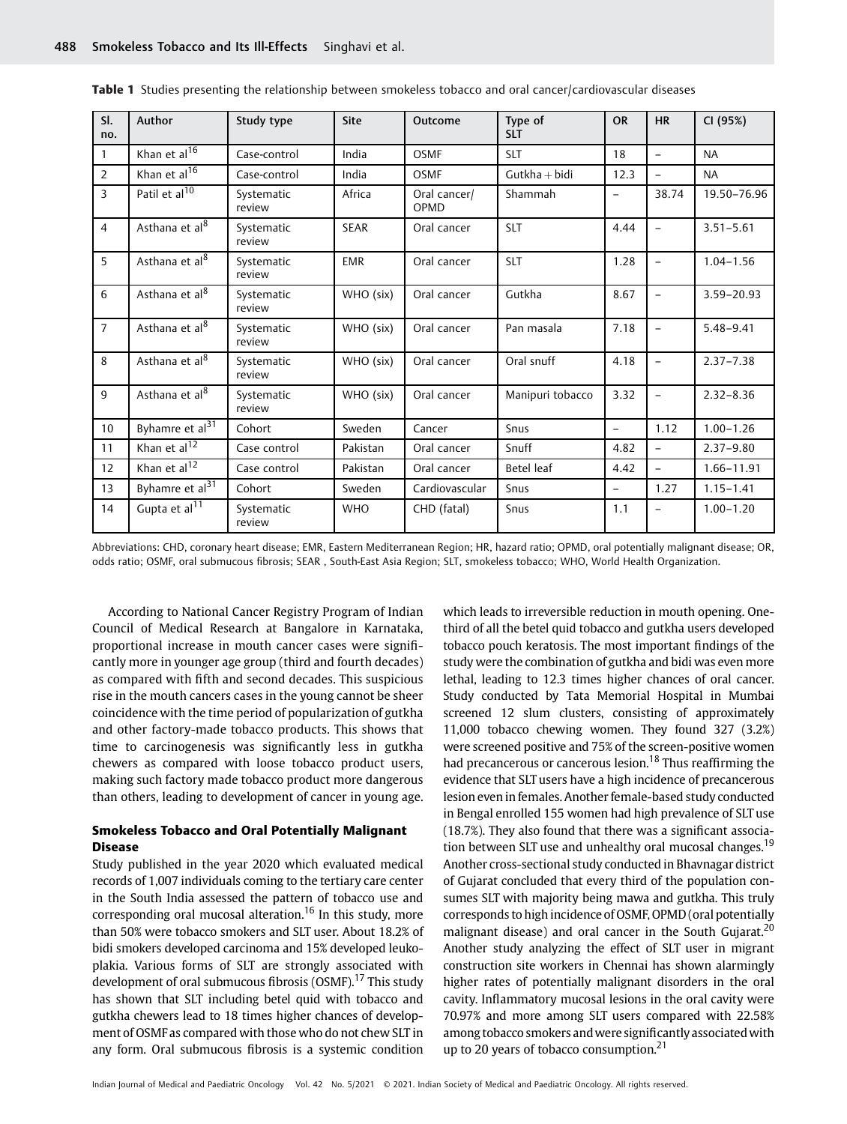| SI.<br>no.     | Author                      | Study type           | <b>Site</b> | Outcome              | Type of<br><b>SLT</b> | <b>OR</b>                | <b>HR</b>                | CI (95%)      |
|----------------|-----------------------------|----------------------|-------------|----------------------|-----------------------|--------------------------|--------------------------|---------------|
| $\mathbf{1}$   | Khan et al <sup>16</sup>    | Case-control         | India       | <b>OSMF</b>          | <b>SLT</b>            | 18                       | $\qquad \qquad -$        | <b>NA</b>     |
| 2              | Khan et al <sup>16</sup>    | Case-control         | India       | <b>OSMF</b>          | $Gutkha + bidi$       | 12.3                     | $\overline{\phantom{0}}$ | <b>NA</b>     |
| $\overline{3}$ | Patil et al <sup>10</sup>   | Systematic<br>review | Africa      | Oral cancer/<br>OPMD | Shammah               | -                        | 38.74                    | 19.50-76.96   |
| $\overline{4}$ | Asthana et al <sup>8</sup>  | Systematic<br>review | <b>SEAR</b> | Oral cancer          | <b>SLT</b>            | 4.44                     | $\overline{\phantom{0}}$ | $3.51 - 5.61$ |
| 5              | Asthana et al <sup>8</sup>  | Systematic<br>review | <b>EMR</b>  | Oral cancer          | <b>SLT</b>            | 1.28                     | $\overline{\phantom{0}}$ | $1.04 - 1.56$ |
| 6              | Asthana et al <sup>8</sup>  | Systematic<br>review | WHO (six)   | Oral cancer          | Gutkha                | 8.67                     | $\qquad \qquad -$        | 3.59-20.93    |
| $\overline{7}$ | Asthana et al <sup>8</sup>  | Systematic<br>review | WHO (six)   | Oral cancer          | Pan masala            | 7.18                     | $\qquad \qquad -$        | $5.48 - 9.41$ |
| 8              | Asthana et al <sup>8</sup>  | Systematic<br>review | WHO (six)   | Oral cancer          | Oral snuff            | 4.18                     | $\qquad \qquad -$        | $2.37 - 7.38$ |
| 9              | Asthana et al <sup>8</sup>  | Systematic<br>review | WHO (six)   | Oral cancer          | Manipuri tobacco      | 3.32                     | $\qquad \qquad -$        | $2.32 - 8.36$ |
| 10             | Byhamre et al <sup>31</sup> | Cohort               | Sweden      | Cancer               | Snus                  | $\overline{\phantom{a}}$ | 1.12                     | $1.00 - 1.26$ |
| 11             | Khan et al <sup>12</sup>    | Case control         | Pakistan    | Oral cancer          | Snuff                 | 4.82                     | $\overline{a}$           | $2.37 - 9.80$ |
| 12             | Khan et al $\overline{12}$  | Case control         | Pakistan    | Oral cancer          | Betel leaf            | 4.42                     | $\qquad \qquad -$        | 1.66-11.91    |
| 13             | Byhamre et al <sup>31</sup> | Cohort               | Sweden      | Cardiovascular       | Snus                  | $\overline{\phantom{0}}$ | 1.27                     | $1.15 - 1.41$ |
| 14             | Gupta et al <sup>11</sup>   | Systematic<br>review | <b>WHO</b>  | CHD (fatal)          | Snus                  | 1.1                      | $\overline{\phantom{0}}$ | $1.00 - 1.20$ |

Table 1 Studies presenting the relationship between smokeless tobacco and oral cancer/cardiovascular diseases

Abbreviations: CHD, coronary heart disease; EMR, Eastern Mediterranean Region; HR, hazard ratio; OPMD, oral potentially malignant disease; OR, odds ratio; OSMF, oral submucous fibrosis; SEAR , South-East Asia Region; SLT, smokeless tobacco; WHO, World Health Organization.

According to National Cancer Registry Program of Indian Council of Medical Research at Bangalore in Karnataka, proportional increase in mouth cancer cases were significantly more in younger age group (third and fourth decades) as compared with fifth and second decades. This suspicious rise in the mouth cancers cases in the young cannot be sheer coincidence with the time period of popularization of gutkha and other factory-made tobacco products. This shows that time to carcinogenesis was significantly less in gutkha chewers as compared with loose tobacco product users, making such factory made tobacco product more dangerous than others, leading to development of cancer in young age.

## Smokeless Tobacco and Oral Potentially Malignant Disease

Study published in the year 2020 which evaluated medical records of 1,007 individuals coming to the tertiary care center in the South India assessed the pattern of tobacco use and corresponding oral mucosal alteration.<sup>16</sup> In this study, more than 50% were tobacco smokers and SLT user. About 18.2% of bidi smokers developed carcinoma and 15% developed leukoplakia. Various forms of SLT are strongly associated with development of oral submucous fibrosis (OSMF).<sup>17</sup> This study has shown that SLT including betel quid with tobacco and gutkha chewers lead to 18 times higher chances of development of OSMF as compared with those who do not chew SLT in any form. Oral submucous fibrosis is a systemic condition

which leads to irreversible reduction in mouth opening. Onethird of all the betel quid tobacco and gutkha users developed tobacco pouch keratosis. The most important findings of the study were the combination of gutkha and bidi was even more lethal, leading to 12.3 times higher chances of oral cancer. Study conducted by Tata Memorial Hospital in Mumbai screened 12 slum clusters, consisting of approximately 11,000 tobacco chewing women. They found 327 (3.2%) were screened positive and 75% of the screen-positive women had precancerous or cancerous lesion.<sup>18</sup> Thus reaffirming the evidence that SLT users have a high incidence of precancerous lesion even in females. Another female-based study conducted in Bengal enrolled 155 women had high prevalence of SLT use (18.7%). They also found that there was a significant association between SLT use and unhealthy oral mucosal changes.<sup>19</sup> Another cross-sectional study conducted in Bhavnagar district of Gujarat concluded that every third of the population consumes SLT with majority being mawa and gutkha. This truly corresponds to high incidence of OSMF, OPMD (oral potentially malignant disease) and oral cancer in the South Gujarat.<sup>20</sup> Another study analyzing the effect of SLT user in migrant construction site workers in Chennai has shown alarmingly higher rates of potentially malignant disorders in the oral cavity. Inflammatory mucosal lesions in the oral cavity were 70.97% and more among SLT users compared with 22.58% among tobacco smokers and were significantly associated with up to 20 years of tobacco consumption. $21$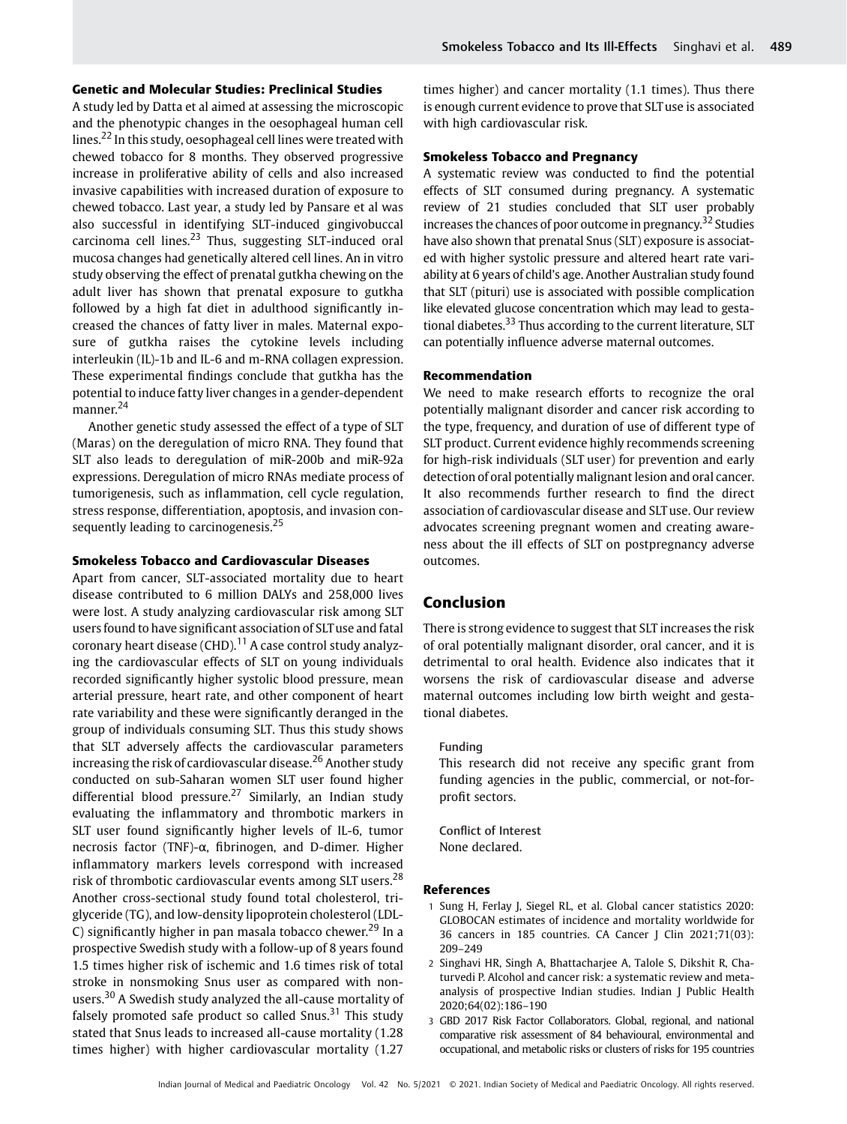A study led by Datta et al aimed at assessing the microscopic and the phenotypic changes in the oesophageal human cell lines.<sup>22</sup> In this study, oesophageal cell lines were treated with chewed tobacco for 8 months. They observed progressive increase in proliferative ability of cells and also increased invasive capabilities with increased duration of exposure to chewed tobacco. Last year, a study led by Pansare et al was also successful in identifying SLT-induced gingivobuccal carcinoma cell lines. $23$  Thus, suggesting SLT-induced oral mucosa changes had genetically altered cell lines. An in vitro study observing the effect of prenatal gutkha chewing on the adult liver has shown that prenatal exposure to gutkha followed by a high fat diet in adulthood significantly increased the chances of fatty liver in males. Maternal exposure of gutkha raises the cytokine levels including interleukin (IL)-1b and IL-6 and m-RNA collagen expression. These experimental findings conclude that gutkha has the potential to induce fatty liver changes in a gender-dependent manner.<sup>24</sup>

Another genetic study assessed the effect of a type of SLT (Maras) on the deregulation of micro RNA. They found that SLT also leads to deregulation of miR-200b and miR-92a expressions. Deregulation of micro RNAs mediate process of tumorigenesis, such as inflammation, cell cycle regulation, stress response, differentiation, apoptosis, and invasion consequently leading to carcinogenesis.<sup>25</sup>

#### Smokeless Tobacco and Cardiovascular Diseases

Apart from cancer, SLT-associated mortality due to heart disease contributed to 6 million DALYs and 258,000 lives were lost. A study analyzing cardiovascular risk among SLT users found to have significant association of SLTuse and fatal coronary heart disease (CHD). $^{11}$  A case control study analyzing the cardiovascular effects of SLT on young individuals recorded significantly higher systolic blood pressure, mean arterial pressure, heart rate, and other component of heart rate variability and these were significantly deranged in the group of individuals consuming SLT. Thus this study shows that SLT adversely affects the cardiovascular parameters increasing the risk of cardiovascular disease.<sup>26</sup> Another study conducted on sub-Saharan women SLT user found higher differential blood pressure.<sup>27</sup> Similarly, an Indian study evaluating the inflammatory and thrombotic markers in SLT user found significantly higher levels of IL-6, tumor necrosis factor (TNF)-α, fibrinogen, and D-dimer. Higher inflammatory markers levels correspond with increased risk of thrombotic cardiovascular events among SLT users.<sup>28</sup> Another cross-sectional study found total cholesterol, triglyceride (TG), and low-density lipoprotein cholesterol (LDL-C) significantly higher in pan masala tobacco chewer.<sup>29</sup> In a prospective Swedish study with a follow-up of 8 years found 1.5 times higher risk of ischemic and 1.6 times risk of total stroke in nonsmoking Snus user as compared with nonusers.<sup>30</sup> A Swedish study analyzed the all-cause mortality of falsely promoted safe product so called  $S$ nus.<sup>31</sup> This study stated that Snus leads to increased all-cause mortality (1.28 times higher) with higher cardiovascular mortality (1.27

times higher) and cancer mortality (1.1 times). Thus there is enough current evidence to prove that SLT use is associated with high cardiovascular risk.

#### Smokeless Tobacco and Pregnancy

A systematic review was conducted to find the potential effects of SLT consumed during pregnancy. A systematic review of 21 studies concluded that SLT user probably increases the chances of poor outcome in pregnancy.<sup>32</sup> Studies have also shown that prenatal Snus (SLT) exposure is associated with higher systolic pressure and altered heart rate variability at 6 years of child's age. Another Australian study found that SLT (pituri) use is associated with possible complication like elevated glucose concentration which may lead to gestational diabetes.<sup>33</sup> Thus according to the current literature, SLT can potentially influence adverse maternal outcomes.

#### Recommendation

We need to make research efforts to recognize the oral potentially malignant disorder and cancer risk according to the type, frequency, and duration of use of different type of SLT product. Current evidence highly recommends screening for high-risk individuals (SLT user) for prevention and early detection of oral potentially malignant lesion and oral cancer. It also recommends further research to find the direct association of cardiovascular disease and SLT use. Our review advocates screening pregnant women and creating awareness about the ill effects of SLT on postpregnancy adverse outcomes.

#### Conclusion

There is strong evidence to suggest that SLT increases the risk of oral potentially malignant disorder, oral cancer, and it is detrimental to oral health. Evidence also indicates that it worsens the risk of cardiovascular disease and adverse maternal outcomes including low birth weight and gestational diabetes.

#### Funding

This research did not receive any specific grant from funding agencies in the public, commercial, or not-forprofit sectors.

Conflict of Interest None declared.

#### References

- 1 Sung H, Ferlay J, Siegel RL, et al. Global cancer statistics 2020: GLOBOCAN estimates of incidence and mortality worldwide for 36 cancers in 185 countries. CA Cancer J Clin 2021;71(03): 209–249
- 2 Singhavi HR, Singh A, Bhattacharjee A, Talole S, Dikshit R, Chaturvedi P. Alcohol and cancer risk: a systematic review and metaanalysis of prospective Indian studies. Indian J Public Health 2020;64(02):186–190
- 3 GBD 2017 Risk Factor Collaborators. Global, regional, and national comparative risk assessment of 84 behavioural, environmental and occupational, and metabolic risks or clusters of risks for 195 countries